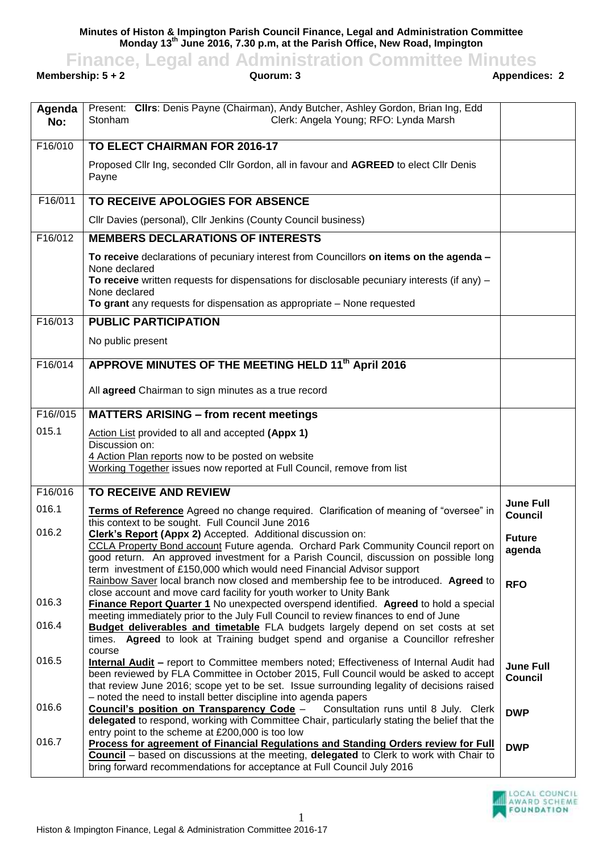**Minutes of Histon & Impington Parish Council Finance, Legal and Administration Committee Monday 13 th June 2016, 7.30 p.m, at the Parish Office, New Road, Impington**

## **Finance, Legal and Administration Committee Minutes**<br>**Guorum: 3**<br>**Appendices: 2**<br>**Appendices: 2**

**Membership: 5 + 2** 

| Agenda<br>No:         | Present: Clirs: Denis Payne (Chairman), Andy Butcher, Ashley Gordon, Brian Ing, Edd<br>Clerk: Angela Young; RFO: Lynda Marsh<br>Stonham                                         |                                    |
|-----------------------|---------------------------------------------------------------------------------------------------------------------------------------------------------------------------------|------------------------------------|
| F16/010               | <b>TO ELECT CHAIRMAN FOR 2016-17</b>                                                                                                                                            |                                    |
|                       | Proposed Cllr Ing, seconded Cllr Gordon, all in favour and AGREED to elect Cllr Denis<br>Payne                                                                                  |                                    |
| F16/011               | TO RECEIVE APOLOGIES FOR ABSENCE                                                                                                                                                |                                    |
|                       | Cllr Davies (personal), Cllr Jenkins (County Council business)                                                                                                                  |                                    |
| F16/012               | <b>MEMBERS DECLARATIONS OF INTERESTS</b>                                                                                                                                        |                                    |
|                       | To receive declarations of pecuniary interest from Councillors on items on the agenda -                                                                                         |                                    |
|                       | None declared<br>To receive written requests for dispensations for disclosable pecuniary interests (if any) $-$                                                                 |                                    |
|                       | None declared<br>To grant any requests for dispensation as appropriate - None requested                                                                                         |                                    |
| F16/013               | <b>PUBLIC PARTICIPATION</b>                                                                                                                                                     |                                    |
|                       | No public present                                                                                                                                                               |                                    |
| F16/014               | APPROVE MINUTES OF THE MEETING HELD 11 <sup>th</sup> April 2016                                                                                                                 |                                    |
|                       |                                                                                                                                                                                 |                                    |
|                       | All agreed Chairman to sign minutes as a true record                                                                                                                            |                                    |
| F <sub>16</sub> //015 | <b>MATTERS ARISING - from recent meetings</b>                                                                                                                                   |                                    |
| 015.1                 | Action List provided to all and accepted (Appx 1)                                                                                                                               |                                    |
|                       | Discussion on:<br>4 Action Plan reports now to be posted on website                                                                                                             |                                    |
|                       | Working Together issues now reported at Full Council, remove from list                                                                                                          |                                    |
| F16/016               | TO RECEIVE AND REVIEW                                                                                                                                                           |                                    |
| 016.1                 |                                                                                                                                                                                 | <b>June Full</b>                   |
|                       | Terms of Reference Agreed no change required. Clarification of meaning of "oversee" in<br>this context to be sought. Full Council June 2016                                     | <b>Council</b>                     |
| 016.2                 | Clerk's Report (Appx 2) Accepted. Additional discussion on:                                                                                                                     | <b>Future</b>                      |
|                       | CCLA Property Bond account Future agenda. Orchard Park Community Council report on<br>good return. An approved investment for a Parish Council, discussion on possible long     | agenda                             |
|                       | term investment of £150,000 which would need Financial Advisor support                                                                                                          |                                    |
|                       | Rainbow Saver local branch now closed and membership fee to be introduced. Agreed to                                                                                            | <b>RFO</b>                         |
| 016.3                 | close account and move card facility for youth worker to Unity Bank<br>Finance Report Quarter 1 No unexpected overspend identified. Agreed to hold a special                    |                                    |
| 016.4                 | meeting immediately prior to the July Full Council to review finances to end of June<br><b>Budget deliverables and timetable</b> FLA budgets largely depend on set costs at set |                                    |
|                       | times. Agreed to look at Training budget spend and organise a Councillor refresher                                                                                              |                                    |
| 016.5                 | course<br>Internal Audit - report to Committee members noted; Effectiveness of Internal Audit had                                                                               |                                    |
|                       | been reviewed by FLA Committee in October 2015, Full Council would be asked to accept                                                                                           | <b>June Full</b><br><b>Council</b> |
|                       | that review June 2016; scope yet to be set. Issue surrounding legality of decisions raised                                                                                      |                                    |
| 016.6                 | - noted the need to install better discipline into agenda papers<br><b>Council's position on Transparency Code -</b> Consultation runs until 8 July. Clerk                      | <b>DWP</b>                         |
|                       | delegated to respond, working with Committee Chair, particularly stating the belief that the                                                                                    |                                    |
| 016.7                 | entry point to the scheme at £200,000 is too low<br>Process for agreement of Financial Regulations and Standing Orders review for Full                                          |                                    |
|                       | Council - based on discussions at the meeting, delegated to Clerk to work with Chair to                                                                                         | <b>DWP</b>                         |
|                       | bring forward recommendations for acceptance at Full Council July 2016                                                                                                          |                                    |